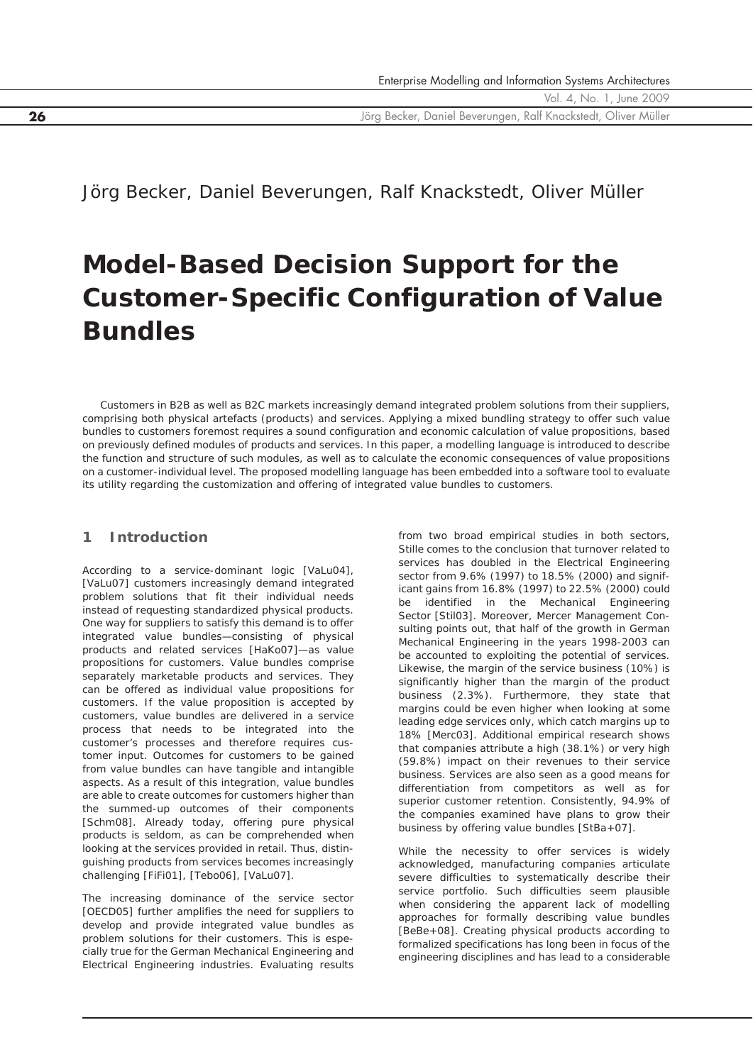**26** Jörg Becker, Daniel Beverungen, Ralf Knackstedt, Oliver Müller

Jörg Becker, Daniel Beverungen, Ralf Knackstedt, Oliver Müller

# **Model-Based Decision Support for the Customer-Specific Configuration of Value Bundles**

*Customers in B2B as well as B2C markets increasingly demand integrated problem solutions from their suppliers, comprising both physical artefacts (products) and services. Applying a mixed bundling strategy to offer such value bundles to customers foremost requires a sound configuration and economic calculation of value propositions, based on previously defined modules of products and services. In this paper, a modelling language is introduced to describe the function and structure of such modules, as well as to calculate the economic consequences of value propositions on a customer-individual level. The proposed modelling language has been embedded into a software tool to evaluate its utility regarding the customization and offering of integrated value bundles to customers.*

## **1 Introduction**

According to a service-dominant logic [VaLu04], [VaLu07] customers increasingly demand integrated problem solutions that fit their individual needs instead of requesting standardized physical products. One way for suppliers to satisfy this demand is to offer integrated value bundles—consisting of physical products and related services [HaKo07]—as value propositions for customers. Value bundles comprise separately marketable products and services. They can be offered as individual value propositions for customers. If the value proposition is accepted by customers, value bundles are delivered in a service process that needs to be integrated into the customer's processes and therefore requires customer input. Outcomes for customers to be gained from value bundles can have tangible and intangible aspects. As a result of this integration, value bundles are able to create outcomes for customers higher than the summed-up outcomes of their components [Schm08]. Already today, offering pure physical products is seldom, as can be comprehended when looking at the services provided in retail. Thus, distinguishing products from services becomes increasingly challenging [FiFi01], [Tebo06], [VaLu07].

The increasing dominance of the service sector [OECD05] further amplifies the need for suppliers to develop and provide integrated value bundles as problem solutions for their customers. This is especially true for the German Mechanical Engineering and Electrical Engineering industries. Evaluating results

from two broad empirical studies in both sectors, Stille comes to the conclusion that turnover related to services has doubled in the Electrical Engineering sector from 9.6% (1997) to 18.5% (2000) and significant gains from 16.8% (1997) to 22.5% (2000) could be identified in the Mechanical Engineering Sector [Stil03]. Moreover, Mercer Management Consulting points out, that half of the growth in German Mechanical Engineering in the years 1998-2003 can be accounted to exploiting the potential of services. Likewise, the margin of the service business (10%) is significantly higher than the margin of the product business (2.3%). Furthermore, they state that margins could be even higher when looking at some leading edge services only, which catch margins up to 18% [Merc03]. Additional empirical research shows that companies attribute a high (38.1%) or very high (59.8%) impact on their revenues to their service business. Services are also seen as a good means for differentiation from competitors as well as for superior customer retention. Consistently, 94.9% of the companies examined have plans to grow their business by offering value bundles [StBa+07].

While the necessity to offer services is widely acknowledged, manufacturing companies articulate severe difficulties to systematically describe their service portfolio. Such difficulties seem plausible when considering the apparent lack of modelling approaches for formally describing value bundles [BeBe+08]. Creating physical products according to formalized specifications has long been in focus of the engineering disciplines and has lead to a considerable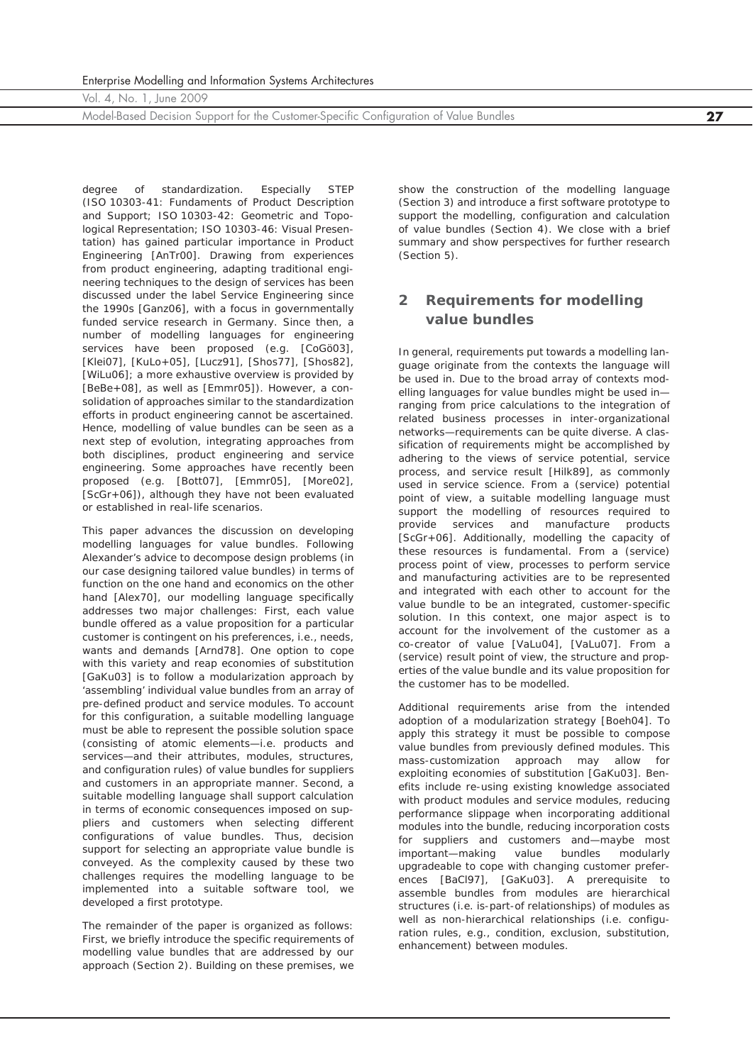Model-Based Decision Support for the Customer-Specific Configuration of Value Bundles **27**

degree of standardization. Especially STEP (ISO 10303-41: Fundaments of Product Description and Support; ISO 10303-42: Geometric and Topological Representation; ISO 10303-46: Visual Presentation) has gained particular importance in *Product Engineering* [AnTr00]. Drawing from experiences from product engineering, adapting traditional engineering techniques to the design of services has been discussed under the label *Service Engineering* since the 1990s [Ganz06], with a focus in governmentally funded service research in Germany. Since then, a number of modelling languages for engineering services have been proposed (e.g. [CoGö03], [Klei07], [KuLo+05], [Lucz91], [Shos77], [Shos82], [WiLu06]; a more exhaustive overview is provided by [BeBe+08], as well as [Emmr05]). However, a consolidation of approaches similar to the standardization efforts in product engineering cannot be ascertained. Hence, modelling of value bundles can be seen as a next step of evolution, integrating approaches from both disciplines, product engineering and service engineering. Some approaches have recently been proposed (e.g. [Bott07], [Emmr05], [More02], [ScGr+06]), although they have not been evaluated or established in real-life scenarios.

This paper advances the discussion on developing modelling languages for value bundles. Following Alexander's advice to decompose design problems (in our case designing tailored value bundles) in terms of function on the one hand and economics on the other hand [Alex70], our modelling language specifically addresses two major challenges: First, each value bundle offered as a value proposition for a particular customer is contingent on his preferences, i.e., needs, wants and demands [Arnd78]. One option to cope with this variety and reap economies of substitution [GaKu03] is to follow a modularization approach by 'assembling' individual value bundles from an array of pre-defined product and service modules. To account for this *configuration*, a suitable modelling language must be able to represent the possible solution space (consisting of atomic elements—i.e. products and services—and their attributes, modules, structures, and configuration rules) of value bundles for suppliers and customers in an appropriate manner. Second, a suitable modelling language shall support *calculation* in terms of economic consequences imposed on suppliers and customers when selecting different configurations of value bundles. Thus, *decision support* for selecting an appropriate value bundle is conveyed. As the complexity caused by these two challenges requires the modelling language to be implemented into a suitable software tool, we developed a first prototype.

The remainder of the paper is organized as follows: First, we briefly introduce the specific requirements of modelling value bundles that are addressed by our approach (Section 2). Building on these premises, we

show the construction of the modelling language (Section 3) and introduce a first software prototype to support the modelling, configuration and calculation of value bundles (Section 4). We close with a brief summary and show perspectives for further research (Section 5).

# **2 Requirements for modelling value bundles**

In general, requirements put towards a modelling language originate from the contexts the language will be used in. Due to the broad array of contexts modelling languages for value bundles might be used in ranging from price calculations to the integration of related business processes in inter-organizational networks—requirements can be quite diverse. A classification of requirements might be accomplished by adhering to the views of service potential, service process, and service result [Hilk89], as commonly used in service science. From a (service) *potential* point of view, a suitable modelling language must support the modelling of resources required to provide services and manufacture products [ScGr+06]. Additionally, modelling the capacity of these resources is fundamental. From a (service) *process* point of view, processes to perform service and manufacturing activities are to be represented and integrated with each other to account for the value bundle to be an integrated, customer-specific solution. In this context, one major aspect is to account for the involvement of the customer as a co-creator of value [VaLu04], [VaLu07]. From a (service) *result* point of view, the structure and properties of the value bundle and its value proposition for the customer has to be modelled.

Additional requirements arise from the intended adoption of a modularization strategy [Boeh04]. To apply this strategy it must be possible to compose value bundles from previously defined modules. This mass-customization approach may allow for exploiting economies of substitution [GaKu03]. Benefits include re-using existing knowledge associated with product modules and service modules, reducing performance slippage when incorporating additional modules into the bundle, reducing incorporation costs for suppliers and customers and—maybe most important—making value bundles modularly upgradeable to cope with changing customer preferences [BaCl97], [GaKu03]. A prerequisite to assemble bundles from modules are hierarchical structures (i.e. is-part-of relationships) of modules as well as non-hierarchical relationships (i.e. configuration rules, e.g., condition, exclusion, substitution, enhancement) between modules.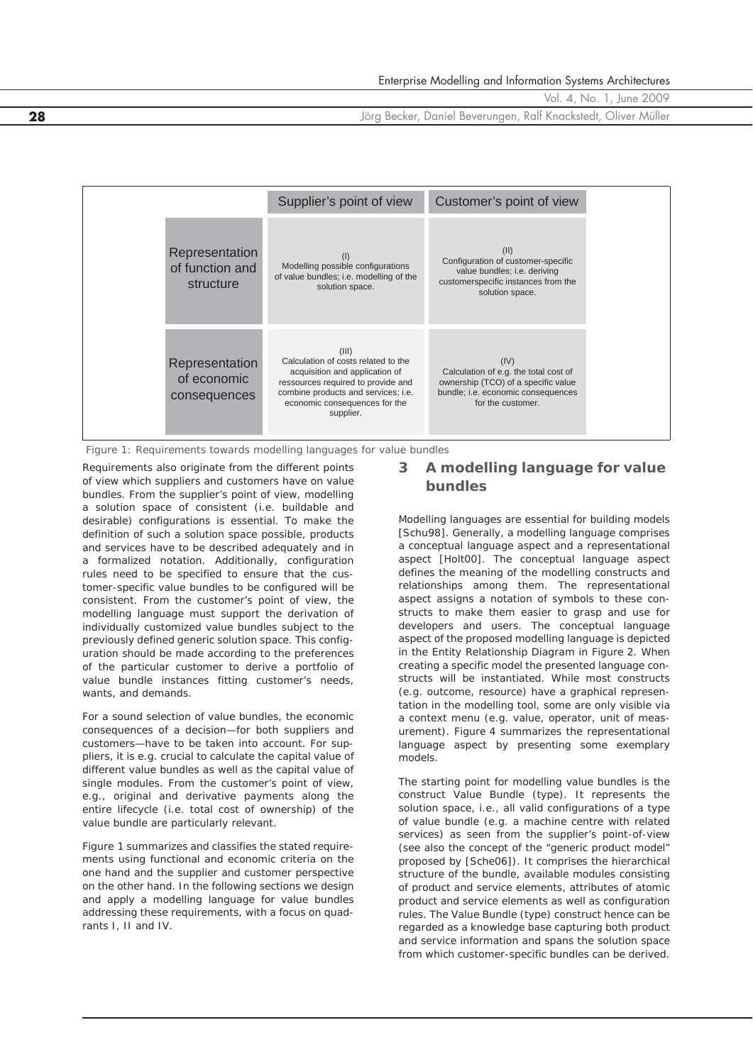**28** Jörg Becker, Daniel Beverungen, Ralf Knackstedt, Oliver Müller

|                                                | Supplier's point of view                                                                                                                                                                                  | Customer's point of view                                                                                                                        |
|------------------------------------------------|-----------------------------------------------------------------------------------------------------------------------------------------------------------------------------------------------------------|-------------------------------------------------------------------------------------------------------------------------------------------------|
| Representation<br>of function and<br>structure | (1)<br>Modelling possible configurations<br>of value bundles; i.e. modelling of the<br>solution space.                                                                                                    | (II)<br>Configuration of customer-specific<br>value bundles; i.e. deriving<br>customerspecific instances from the<br>solution space.            |
| Representation<br>of economic<br>consequences  | (III)<br>Calculation of costs related to the<br>acquisition and application of<br>ressources required to provide and<br>combine products and services; i.e.<br>economic consequences for the<br>supplier. | (IV)<br>Calculation of e.g. the total cost of<br>ownership (TCO) of a specific value<br>bundle; i.e. economic consequences<br>for the customer. |

*Figure 1: Requirements towards modelling languages for value bundles*

Requirements also originate from the different points of view which suppliers and customers have on value bundles. From the supplier's point of view, modelling a solution space of consistent (i.e. buildable and desirable) configurations is essential. To make the definition of such a solution space possible, products and services have to be described adequately and in a formalized notation. Additionally, configuration rules need to be specified to ensure that the customer-specific value bundles to be configured will be consistent. From the customer's point of view, the modelling language must support the derivation of individually customized value bundles subject to the previously defined generic solution space. This configuration should be made according to the preferences of the particular customer to derive a portfolio of value bundle instances fitting customer's needs, wants, and demands.

For a sound selection of value bundles, the economic consequences of a decision—for both suppliers and customers—have to be taken into account. For suppliers, it is e.g. crucial to calculate the capital value of different value bundles as well as the capital value of single modules. From the customer's point of view, e.g., original and derivative payments along the entire lifecycle (i.e. total cost of ownership) of the value bundle are particularly relevant.

Figure 1 summarizes and classifies the stated requirements using functional and economic criteria on the one hand and the supplier and customer perspective on the other hand. In the following sections we design and apply a modelling language for value bundles addressing these requirements, with a focus on quadrants I, II and IV.

## **3 A modelling language for value bundles**

Modelling languages are essential for building models [Schu98]. Generally, a modelling language comprises a conceptual language aspect and a representational aspect [Holt00]. The conceptual language aspect defines the meaning of the modelling constructs and relationships among them. The representational aspect assigns a notation of symbols to these constructs to make them easier to grasp and use for developers and users. The conceptual language aspect of the proposed modelling language is depicted in the Entity Relationship Diagram in Figure 2. When creating a specific model the presented language constructs will be instantiated. While most constructs (e.g. outcome, resource) have a graphical representation in the modelling tool, some are only visible via a context menu (e.g. value, operator, unit of measurement). Figure 4 summarizes the representational language aspect by presenting some exemplary models.

The starting point for modelling value bundles is the construct *Value Bundle (type)*. It represents the solution space, i.e., all valid configurations of a type of value bundle (e.g. a machine centre with related services) as seen from the supplier's point-of-view (see also the concept of the "generic product model" proposed by [Sche06]). It comprises the hierarchical structure of the bundle, available modules consisting of product and service elements, attributes of atomic product and service elements as well as configuration rules. The Value Bundle (type) construct hence can be regarded as a knowledge base capturing both product and service information and spans the solution space from which customer-specific bundles can be derived.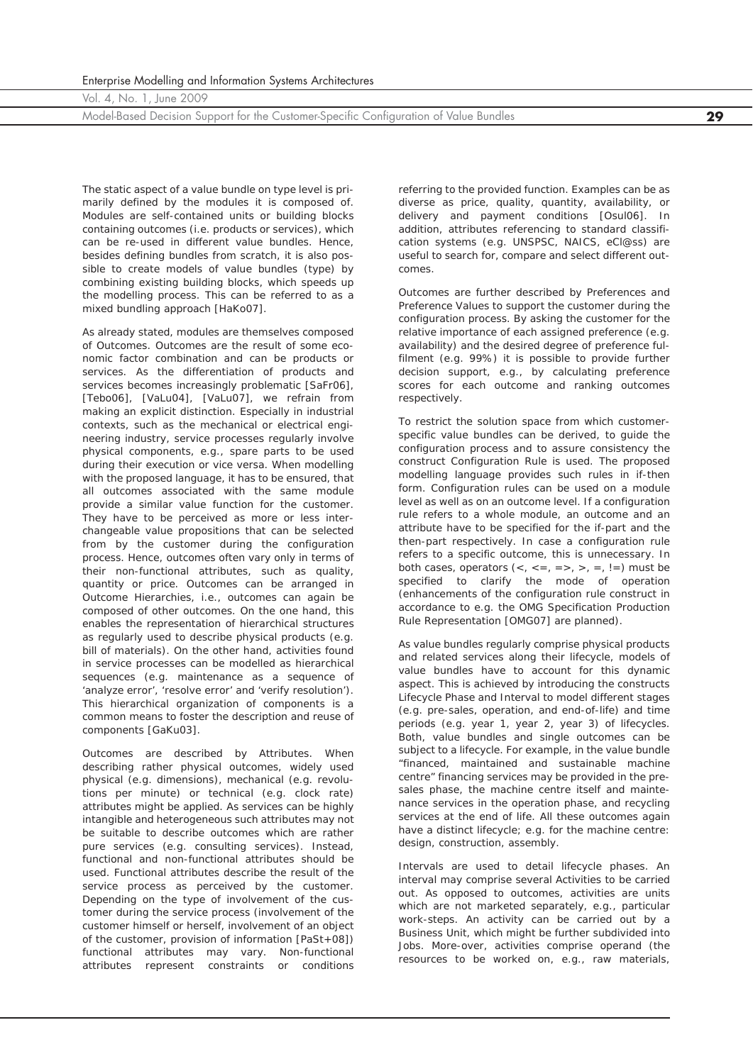Model-Based Decision Support for the Customer-Specific Configuration of Value Bundles **29**

The static aspect of a value bundle on type level is primarily defined by the modules it is composed of. *Modules* are self-contained units or building blocks containing outcomes (i.e. products or services), which can be re-used in different value bundles. Hence, besides defining bundles from scratch, it is also possible to create models of value bundles (type) by combining existing building blocks, which speeds up the modelling process. This can be referred to as a mixed bundling approach [HaKo07].

As already stated, modules are themselves composed of *Outcomes*. Outcomes are the result of some economic factor combination and can be products or services. As the differentiation of products and services becomes increasingly problematic [SaFr06], [Tebo06], [VaLu04], [VaLu07], we refrain from making an explicit distinction. Especially in industrial contexts, such as the mechanical or electrical engineering industry, service processes regularly involve physical components, e.g., spare parts to be used during their execution or vice versa. When modelling with the proposed language, it has to be ensured, that all outcomes associated with the same module provide a similar value function for the customer. They have to be perceived as more or less interchangeable value propositions that can be selected from by the customer during the configuration process. Hence, outcomes often vary only in terms of their non-functional attributes, such as quality, quantity or price. Outcomes can be arranged in *Outcome Hierarchies*, i.e., outcomes can again be composed of other outcomes. On the one hand, this enables the representation of hierarchical structures as regularly used to describe physical products (e.g. bill of materials). On the other hand, activities found in service processes can be modelled as hierarchical sequences (e.g. maintenance as a sequence of 'analyze error', 'resolve error' and 'verify resolution'). This hierarchical organization of components is a common means to foster the description and reuse of components [GaKu03].

Outcomes are described by *Attributes*. When describing rather physical outcomes, widely used physical (e.g. dimensions), mechanical (e.g. revolutions per minute) or technical (e.g. clock rate) attributes might be applied. As services can be highly intangible and heterogeneous such attributes may not be suitable to describe outcomes which are rather pure services (e.g. consulting services). Instead, functional and non-functional attributes should be used. Functional attributes describe the result of the service process as perceived by the customer. Depending on the type of involvement of the customer during the service process (involvement of the customer himself or herself, involvement of an object of the customer, provision of information [PaSt+08]) functional attributes may vary. Non-functional attributes represent constraints or conditions

referring to the provided function. Examples can be as diverse as price, quality, quantity, availability, or delivery and payment conditions [Osul06]. In addition, attributes referencing to standard classification systems (e.g. UNSPSC, NAICS, eCl@ss) are useful to search for, compare and select different outcomes.

Outcomes are further described by *Preferences* and *Preference Values* to support the customer during the configuration process. By asking the customer for the relative importance of each assigned preference (e.g. availability) and the desired degree of preference fulfilment (e.g. 99%) it is possible to provide further decision support, e.g., by calculating preference scores for each outcome and ranking outcomes respectively.

To restrict the solution space from which customerspecific value bundles can be derived, to guide the configuration process and to assure consistency the construct *Configuration Rule* is used. The proposed modelling language provides such rules in if-then form. Configuration rules can be used on a module level as well as on an outcome level. If a configuration rule refers to a whole module, an outcome and an attribute have to be specified for the if-part and the then-part respectively. In case a configuration rule refers to a specific outcome, this is unnecessary. In both cases, operators  $\left\langle \langle , \langle \langle , \rangle \rangle \rangle \right\rangle$ , =, !=) must be specified to clarify the mode of operation (enhancements of the configuration rule construct in accordance to e.g. the OMG Specification Production Rule Representation [OMG07] are planned).

As value bundles regularly comprise physical products and related services along their lifecycle, models of value bundles have to account for this dynamic aspect. This is achieved by introducing the constructs *Lifecycle Phase* and *Interval* to model different stages (e.g. pre-sales, operation, and end-of-life) and time periods (e.g. year 1, year 2, year 3) of lifecycles. Both, value bundles and single outcomes can be subject to a lifecycle. For example, in the value bundle "financed, maintained and sustainable machine centre" financing services may be provided in the presales phase, the machine centre itself and maintenance services in the operation phase, and recycling services at the end of life. All these outcomes again have a distinct lifecycle; e.g. for the machine centre: design, construction, assembly.

Intervals are used to detail lifecycle phases. An interval may comprise several *Activities* to be carried out. As opposed to outcomes, activities are units which are not marketed separately, e.g., particular work-steps. An activity can be carried out by a *Business Unit*, which might be further subdivided into *Jobs*. More-over, activities comprise operand (the resources to be worked on, e.g., raw materials,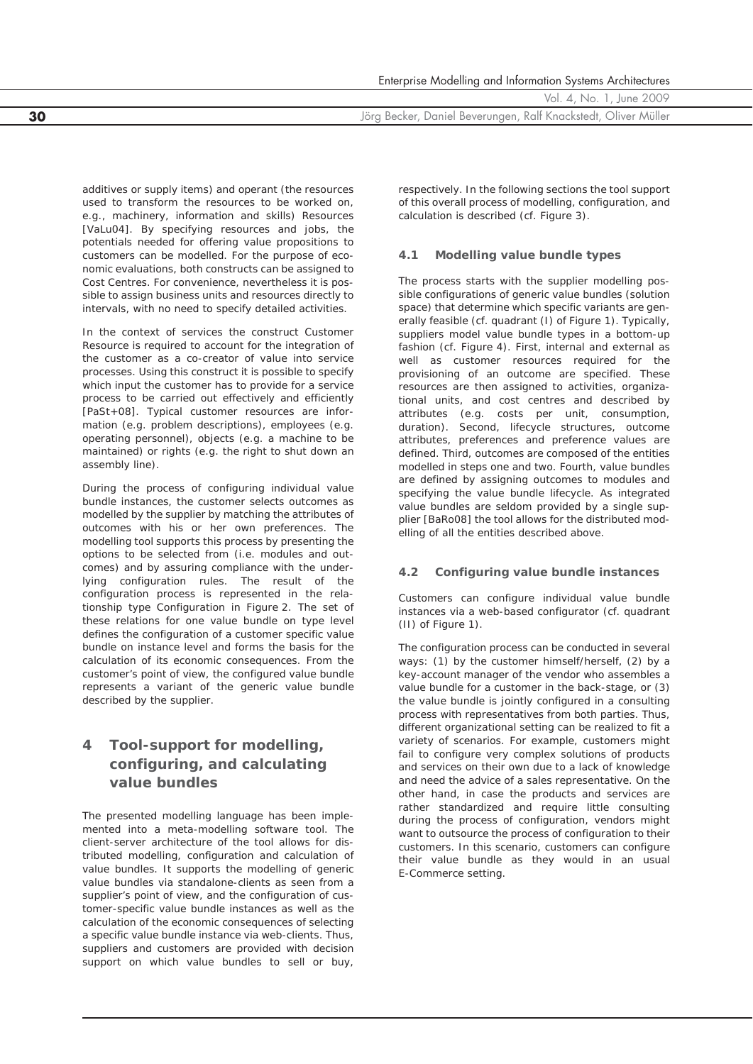Enterprise Modelling and Information Systems Architectures Vol. 4, No. 1, June 2009 **30** Jörg Becker, Daniel Beverungen, Ralf Knackstedt, Oliver Müller

additives or supply items) and operant (the resources used to transform the resources to be worked on, e.g., machinery, information and skills) *Resources* [VaLu04]. By specifying resources and jobs, the potentials needed for offering value propositions to customers can be modelled. For the purpose of economic evaluations, both constructs can be assigned to *Cost Centres*. For convenience, nevertheless it is possible to assign business units and resources directly to intervals, with no need to specify detailed activities.

In the context of services the construct *Customer Resource* is required to account for the integration of the customer as a co-creator of value into service processes. Using this construct it is possible to specify which input the customer has to provide for a service process to be carried out effectively and efficiently [PaSt+08]. Typical customer resources are information (e.g. problem descriptions), employees (e.g. operating personnel), objects (e.g. a machine to be maintained) or rights (e.g. the right to shut down an assembly line).

During the process of configuring individual value bundle instances, the customer selects outcomes as modelled by the supplier by matching the attributes of outcomes with his or her own preferences. The modelling tool supports this process by presenting the options to be selected from (i.e. modules and outcomes) and by assuring compliance with the underlying configuration rules. The result of the configuration process is represented in the relationship type *Configuration* in Figure 2. The set of these relations for one value bundle on type level defines the configuration of a customer specific value bundle on instance level and forms the basis for the calculation of its economic consequences. From the customer's point of view, the configured value bundle represents a variant of the generic value bundle described by the supplier.

# **4 Tool-support for modelling, configuring, and calculating value bundles**

The presented modelling language has been implemented into a meta-modelling software tool. The client-server architecture of the tool allows for distributed modelling, configuration and calculation of value bundles. It supports the modelling of generic value bundles via standalone-clients as seen from a supplier's point of view, and the configuration of customer-specific value bundle instances as well as the calculation of the economic consequences of selecting a specific value bundle instance via web-clients. Thus, suppliers and customers are provided with decision support on which value bundles to sell or buy,

respectively. In the following sections the tool support of this overall process of modelling, configuration, and calculation is described (cf. Figure 3).

#### **4.1 Modelling value bundle types**

The process starts with the supplier modelling possible configurations of generic value bundles (solution space) that determine which specific variants are generally feasible (cf. quadrant (I) of Figure 1). Typically, suppliers model value bundle types in a bottom-up fashion (cf. Figure 4). First, internal and external as well as customer resources required for the provisioning of an outcome are specified. These resources are then assigned to activities, organizational units, and cost centres and described by attributes (e.g. costs per unit, consumption, duration). Second, lifecycle structures, outcome attributes, preferences and preference values are defined. Third, outcomes are composed of the entities modelled in steps one and two. Fourth, value bundles are defined by assigning outcomes to modules and specifying the value bundle lifecycle. As integrated value bundles are seldom provided by a single supplier [BaRo08] the tool allows for the distributed modelling of all the entities described above.

### **4.2 Configuring value bundle instances**

Customers can configure individual value bundle instances via a web-based configurator (cf. quadrant (II) of Figure 1).

The configuration process can be conducted in several ways: (1) by the customer himself/herself, (2) by a key-account manager of the vendor who assembles a value bundle for a customer in the back-stage, or (3) the value bundle is jointly configured in a consulting process with representatives from both parties. Thus, different organizational setting can be realized to fit a variety of scenarios. For example, customers might fail to configure very complex solutions of products and services on their own due to a lack of knowledge and need the advice of a sales representative. On the other hand, in case the products and services are rather standardized and require little consulting during the process of configuration, vendors might want to outsource the process of configuration to their customers. In this scenario, customers can configure their value bundle as they would in an usual E-Commerce setting.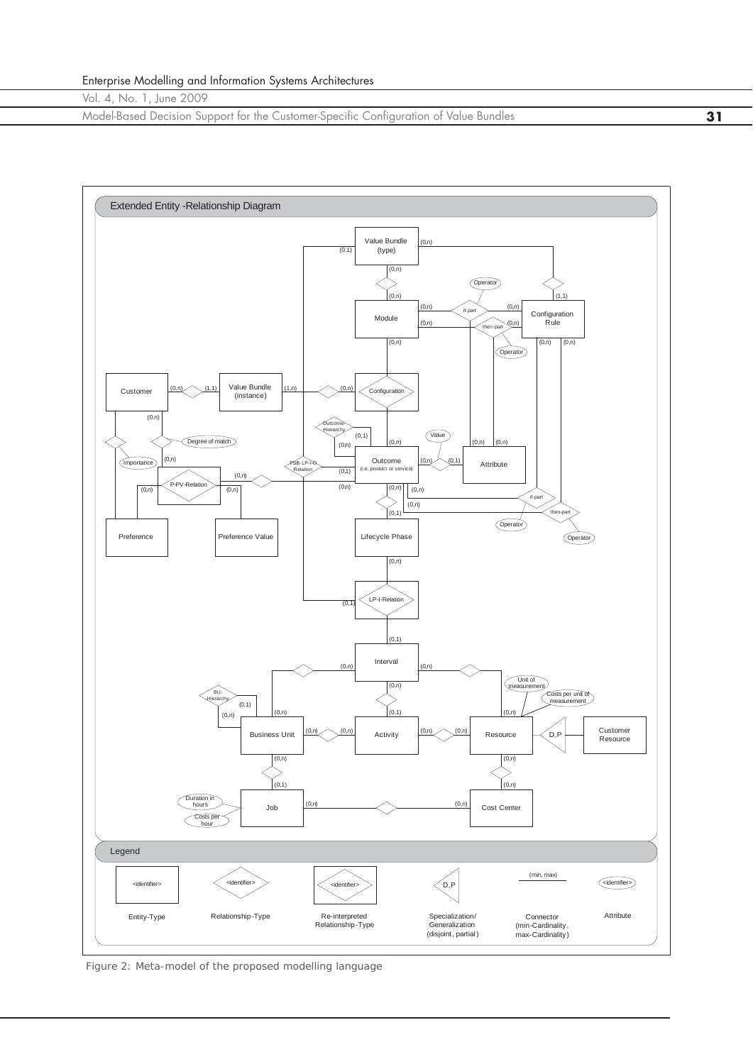Model-Based Decision Support for the Customer-Specific Configuration of Value Bundles **31**



*Figure 2: Meta-model of the proposed modelling language*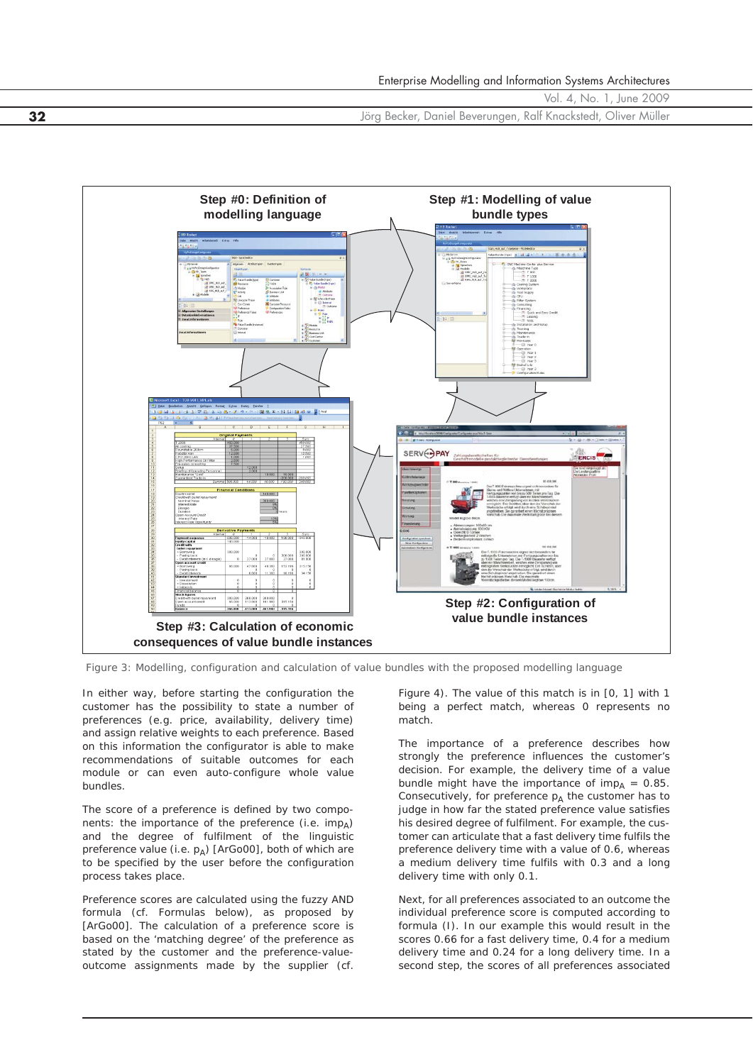Vol. 4, No. 1, June 2009 **32** Jörg Becker, Daniel Beverungen, Ralf Knackstedt, Oliver Müller



*Figure 3: Modelling, configuration and calculation of value bundles with the proposed modelling language*

In either way, before starting the configuration the customer has the possibility to state a number of preferences (e.g. price, availability, delivery time) and assign relative weights to each preference. Based on this information the configurator is able to make recommendations of suitable outcomes for each module or can even auto-configure whole value bundles.

The score of a preference is defined by two components: the importance of the preference (i.e. *imp*<sub>A</sub>) and the degree of fulfilment of the linguistic preference value (i.e.  $p_A$ ) [ArGo00], both of which are to be specified by the user before the configuration process takes place.

Preference scores are calculated using the fuzzy AND formula (cf. Formulas below), as proposed by [ArGo00]. The calculation of a preference score is based on the 'matching degree' of the preference as stated by the customer and the preference-valueoutcome assignments made by the supplier (cf.

Figure 4). The value of this match is in [0, 1] with 1 being a perfect match, whereas 0 represents no match.

The importance of a preference describes how strongly the preference influences the customer's decision. For example, the *delivery time* of a value bundle might have the importance of  $imp<sub>A</sub> = 0.85$ . Consecutively, for preference  $p_A$  the customer has to judge in how far the stated preference value satisfies his desired degree of fulfilment. For example, the customer can articulate that a fast delivery time fulfils the preference *delivery time* with a value of 0.6, whereas a medium delivery time fulfils with 0.3 and a long delivery time with only 0.1.

Next, for all preferences associated to an outcome the individual preference score is computed according to formula (I). In our example this would result in the scores 0.66 for a fast delivery time, 0.4 for a medium delivery time and 0.24 for a long delivery time. In a second step, the scores of all preferences associated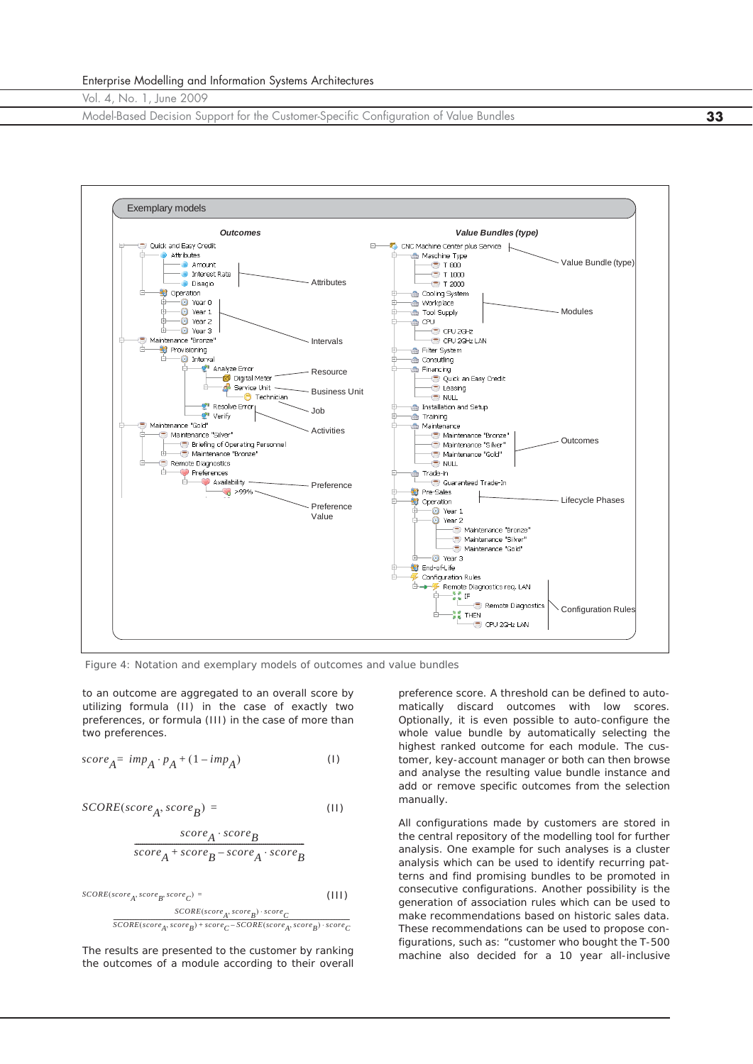Model-Based Decision Support for the Customer-Specific Configuration of Value Bundles **33**



*Figure 4: Notation and exemplary models of outcomes and value bundles*

to an outcome are aggregated to an overall score by utilizing formula (II) in the case of exactly two preferences, or formula (III) in the case of more than two preferences.

$$
score_A = imp_A \cdot p_A + (1 - imp_A) \tag{1}
$$

$$
SCORE(score_A, score_B) = \qquad (11)
$$

$$
\frac{\textit{score}_A \cdot \textit{score}_B}{\textit{score}_A + \textit{score}_B - \textit{score}_A \cdot \textit{score}_B}
$$

 $\label{eq:score} \begin{aligned} SCORE (score_A, score_B, score_C) = \end{aligned}$  $(III)$ 

> $\textit{SCORE}(score_A, score_B) \cdot score_C$  $\overline{SCORE(score_A, score_B) + score_C - SCORE(score_A, score_B) \cdot score_C}$

The results are presented to the customer by ranking the outcomes of a module according to their overall

preference score. A threshold can be defined to automatically discard outcomes with low scores. Optionally, it is even possible to auto-configure the whole value bundle by automatically selecting the highest ranked outcome for each module. The customer, key-account manager or both can then browse and analyse the resulting value bundle instance and add or remove specific outcomes from the selection manually.

All configurations made by customers are stored in the central repository of the modelling tool for further analysis. One example for such analyses is a cluster analysis which can be used to identify recurring patterns and find promising bundles to be promoted in consecutive configurations. Another possibility is the generation of association rules which can be used to make recommendations based on historic sales data. These recommendations can be used to propose configurations, such as: "customer who bought the T-500 machine also decided for a 10 year all-inclusive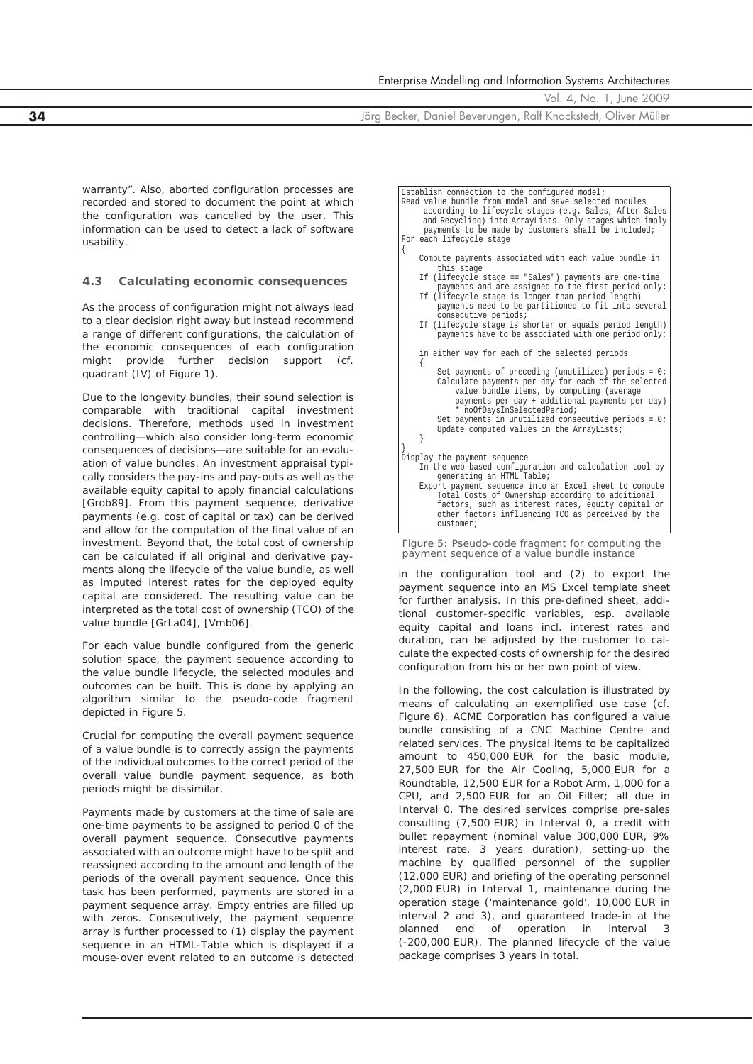**34** Jörg Becker, Daniel Beverungen, Ralf Knackstedt, Oliver Müller

warranty". Also, aborted configuration processes are recorded and stored to document the point at which the configuration was cancelled by the user. This information can be used to detect a lack of software usability.

#### **4.3 Calculating economic consequences**

As the process of configuration might not always lead to a clear decision right away but instead recommend a range of different configurations, the calculation of the economic consequences of each configuration might provide further decision support (cf. quadrant (IV) of Figure 1).

Due to the longevity bundles, their sound selection is comparable with traditional capital investment decisions. Therefore, methods used in investment controlling—which also consider long-term economic consequences of decisions—are suitable for an evaluation of value bundles. An investment appraisal typically considers the pay-ins and pay-outs as well as the available equity capital to apply financial calculations [Grob89]. From this payment sequence, derivative payments (e.g. cost of capital or tax) can be derived and allow for the computation of the final value of an investment. Beyond that, the total cost of ownership can be calculated if all original and derivative payments along the lifecycle of the value bundle, as well as imputed interest rates for the deployed equity capital are considered. The resulting value can be interpreted as the total cost of ownership (TCO) of the value bundle [GrLa04], [Vmb06].

For each value bundle configured from the generic solution space, the payment sequence according to the value bundle lifecycle, the selected modules and outcomes can be built. This is done by applying an algorithm similar to the pseudo-code fragment depicted in Figure 5.

Crucial for computing the overall payment sequence of a value bundle is to correctly assign the payments of the individual outcomes to the correct period of the overall value bundle payment sequence, as both periods might be dissimilar.

Payments made by customers at the time of sale are one-time payments to be assigned to period 0 of the overall payment sequence. Consecutive payments associated with an outcome might have to be split and reassigned according to the amount and length of the periods of the overall payment sequence. Once this task has been performed, payments are stored in a payment sequence array. Empty entries are filled up with zeros. Consecutively, the payment sequence array is further processed to (1) display the payment sequence in an HTML-Table which is displayed if a mouse-over event related to an outcome is detected

| Establish connection to the configured model; |                                                                                                                                                                                                                                                                                                                                                   |  |  |  |
|-----------------------------------------------|---------------------------------------------------------------------------------------------------------------------------------------------------------------------------------------------------------------------------------------------------------------------------------------------------------------------------------------------------|--|--|--|
|                                               | Read value bundle from model and save selected modules<br>according to lifecycle stages (e.g. Sales, After-Sales<br>and Recycling) into ArrayLists. Only stages which imply<br>payments to be made by customers shall be included;                                                                                                                |  |  |  |
|                                               | For each lifecycle stage                                                                                                                                                                                                                                                                                                                          |  |  |  |
|                                               | Compute payments associated with each value bundle in<br>this stage                                                                                                                                                                                                                                                                               |  |  |  |
|                                               | If (lifecycle stage == "Sales") payments are one-time<br>payments and are assigned to the first period only;                                                                                                                                                                                                                                      |  |  |  |
|                                               | If (lifecycle stage is longer than period length)<br>payments need to be partitioned to fit into several<br>consecutive periods;                                                                                                                                                                                                                  |  |  |  |
|                                               | If (lifecycle stage is shorter or equals period length)<br>payments have to be associated with one period only;                                                                                                                                                                                                                                   |  |  |  |
|                                               | in either way for each of the selected periods                                                                                                                                                                                                                                                                                                    |  |  |  |
|                                               | Set payments of preceding (unutilized) periods = $0i$<br>Calculate payments per day for each of the selected<br>value bundle items, by computing (average<br>payments per day + additional payments per day)<br>* noOfDaysInSelectedPeriod;<br>Set payments in unutilized consecutive periods = $0i$<br>Update computed values in the ArrayLists; |  |  |  |
|                                               | Display the payment sequence<br>In the web-based configuration and calculation tool by<br>generating an HTML Table;                                                                                                                                                                                                                               |  |  |  |
|                                               | Export payment sequence into an Excel sheet to compute<br>Total Costs of Ownership according to additional<br>factors, such as interest rates, equity capital or<br>other factors influencing TCO as perceived by the<br>customer;                                                                                                                |  |  |  |
|                                               | Figure $5$ : Pseudo-code fragment for computing the                                                                                                                                                                                                                                                                                               |  |  |  |

*Figure 5: Pseudo-code fragment for computing the payment sequence of a value bundle instance*

in the configuration tool and (2) to export the payment sequence into an MS Excel template sheet for further analysis. In this pre-defined sheet, additional customer-specific variables, esp. available equity capital and loans incl. interest rates and duration, can be adjusted by the customer to calculate the expected costs of ownership for the desired configuration from his or her own point of view.

In the following, the cost calculation is illustrated by means of calculating an exemplified use case (cf. Figure 6). ACME Corporation has configured a value bundle consisting of a CNC Machine Centre and related services. The physical items to be capitalized amount to 450,000 EUR for the basic module, 27,500 EUR for the Air Cooling, 5,000 EUR for a Roundtable, 12,500 EUR for a Robot Arm, 1,000 for a CPU, and 2,500 EUR for an Oil Filter; all due in Interval 0. The desired services comprise pre-sales consulting (7,500 EUR) in Interval 0, a credit with bullet repayment (nominal value 300,000 EUR, 9% interest rate, 3 years duration), setting-up the machine by qualified personnel of the supplier (12,000 EUR) and briefing of the operating personnel (2,000 EUR) in Interval 1, maintenance during the operation stage ('maintenance gold', 10,000 EUR in interval 2 and 3), and guaranteed trade-in at the planned end of operation in interval 3 (-200,000 EUR). The planned lifecycle of the value package comprises 3 years in total.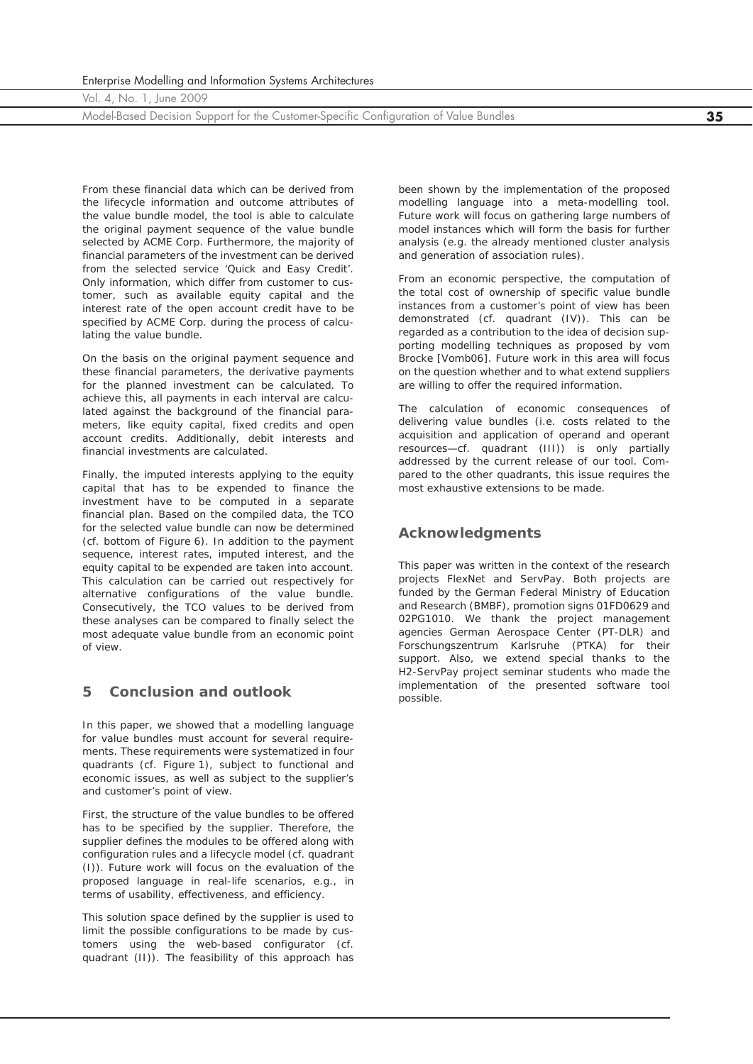Model-Based Decision Support for the Customer-Specific Configuration of Value Bundles **35**

From these financial data which can be derived from the lifecycle information and outcome attributes of the value bundle model, the tool is able to calculate the original payment sequence of the value bundle selected by ACME Corp. Furthermore, the majority of financial parameters of the investment can be derived from the selected service 'Quick and Easy Credit'. Only information, which differ from customer to customer, such as available equity capital and the interest rate of the open account credit have to be specified by ACME Corp. during the process of calculating the value bundle.

On the basis on the original payment sequence and these financial parameters, the derivative payments for the planned investment can be calculated. To achieve this, all payments in each interval are calculated against the background of the financial parameters, like equity capital, fixed credits and open account credits. Additionally, debit interests and financial investments are calculated.

Finally, the imputed interests applying to the equity capital that has to be expended to finance the investment have to be computed in a separate financial plan. Based on the compiled data, the TCO for the selected value bundle can now be determined (cf. bottom of Figure 6). In addition to the payment sequence, interest rates, imputed interest, and the equity capital to be expended are taken into account. This calculation can be carried out respectively for alternative configurations of the value bundle. Consecutively, the TCO values to be derived from these analyses can be compared to finally select the most adequate value bundle from an economic point of view.

#### **5 Conclusion and outlook**

In this paper, we showed that a modelling language for value bundles must account for several requirements. These requirements were systematized in four quadrants (cf. Figure 1), subject to functional and economic issues, as well as subject to the supplier's and customer's point of view.

First, the structure of the value bundles to be offered has to be specified by the supplier. Therefore, the supplier defines the modules to be offered along with configuration rules and a lifecycle model (cf. quadrant (I)). Future work will focus on the evaluation of the proposed language in real-life scenarios, e.g., in terms of usability, effectiveness, and efficiency.

This solution space defined by the supplier is used to limit the possible configurations to be made by customers using the web-based configurator (cf. quadrant (II)). The feasibility of this approach has been shown by the implementation of the proposed modelling language into a meta-modelling tool. Future work will focus on gathering large numbers of model instances which will form the basis for further analysis (e.g. the already mentioned cluster analysis and generation of association rules).

From an economic perspective, the computation of the total cost of ownership of specific value bundle instances from a customer's point of view has been demonstrated (cf. quadrant (IV)). This can be regarded as a contribution to the idea of decision supporting modelling techniques as proposed by vom Brocke [Vomb06]. Future work in this area will focus on the question whether and to what extend suppliers are willing to offer the required information.

The calculation of economic consequences of delivering value bundles (i.e. costs related to the acquisition and application of operand and operant resources—cf. quadrant (III)) is only partially addressed by the current release of our tool. Compared to the other quadrants, this issue requires the most exhaustive extensions to be made.

### **Acknowledgments**

This paper was written in the context of the research projects *FlexNet* and *ServPay*. Both projects are funded by the German Federal Ministry of Education and Research (BMBF), promotion signs 01FD0629 and 02PG1010. We thank the project management agencies *German Aerospace Center* (PT-DLR) and *Forschungszentrum Karlsruhe* (PTKA) for their support. Also, we extend special thanks to the H2-ServPay project seminar students who made the implementation of the presented software tool possible.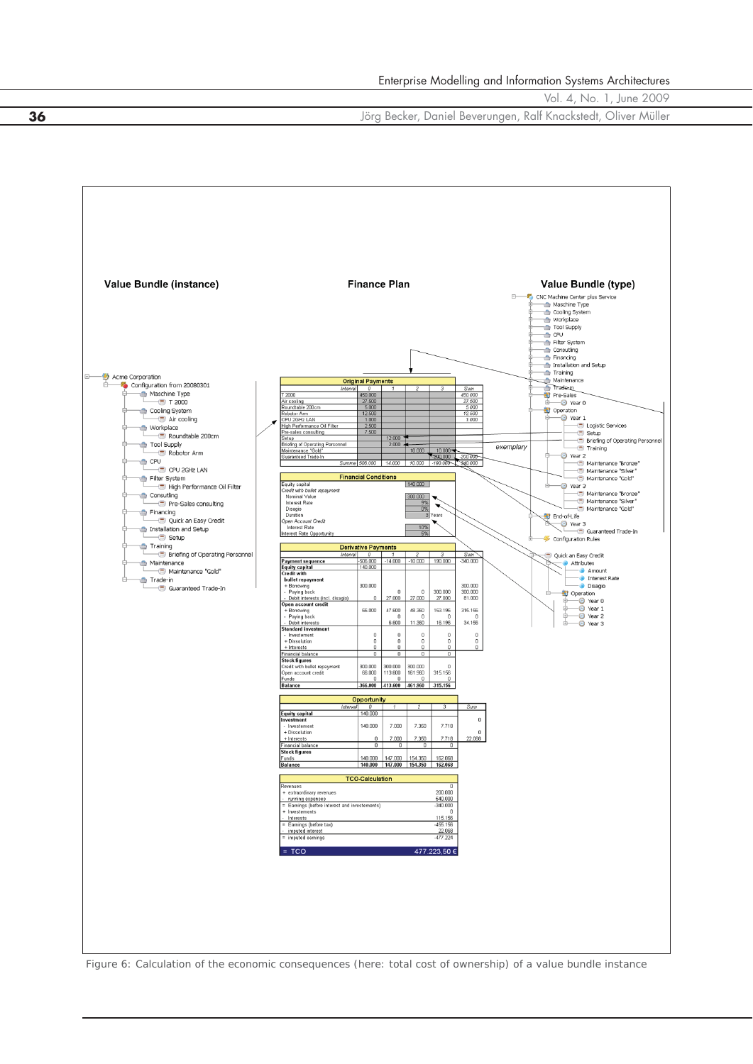**36** Jörg Becker, Daniel Beverungen, Ralf Knackstedt, Oliver Müller



*Figure 6: Calculation of the economic consequences (here: total cost of ownership) of a value bundle instance*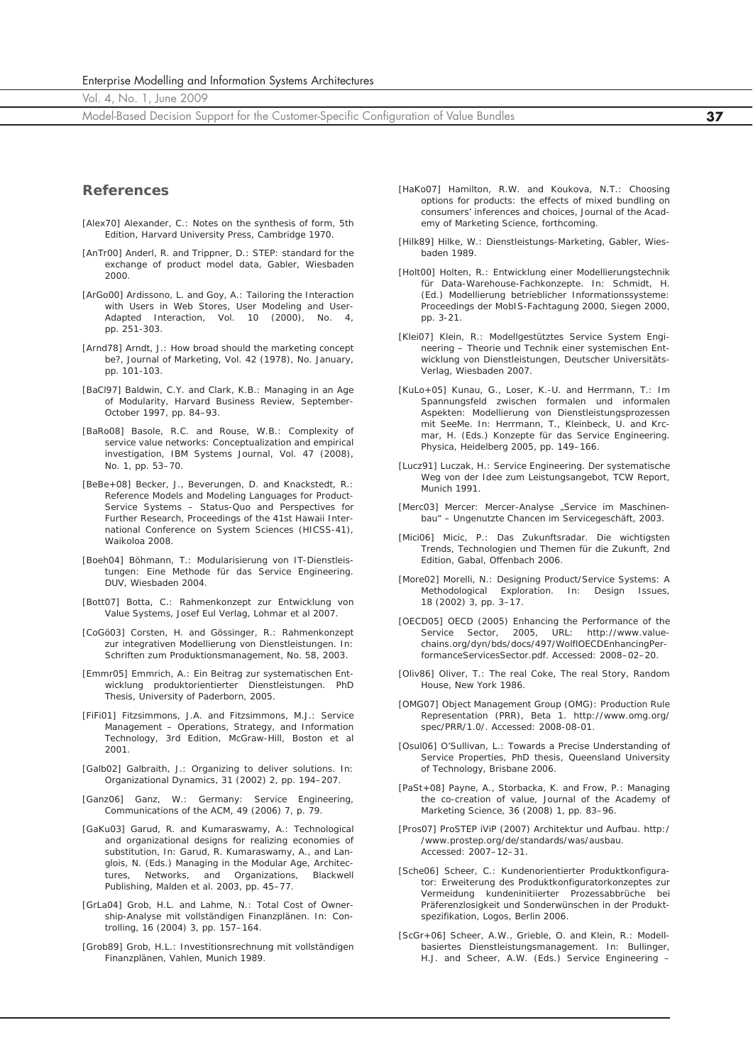Enterprise Modelling and Information Systems Architectures

Vol. 4, No. 1, June 2009

Model-Based Decision Support for the Customer-Specific Configuration of Value Bundles **37**

#### **References**

- [Alex70] Alexander, C.: Notes on the synthesis of form, 5th Edition, Harvard University Press, Cambridge 1970.
- [AnTr00] Anderl, R. and Trippner, D.: STEP: standard for the exchange of product model data, Gabler, Wiesbaden 2000.
- [ArGo00] Ardissono, L. and Goy, A.: Tailoring the Interaction with Users in Web Stores, User Modeling and User-Adapted Interaction, Vol. 10 (2000), No. 4, pp. 251-303.
- [Arnd78] Arndt, J.: How broad should the marketing concept be?, Journal of Marketing, Vol. 42 (1978), No. January, pp. 101-103.
- [BaCl97] Baldwin, C.Y. and Clark, K.B.: Managing in an Age of Modularity, *Harvard Business Review*, September-October 1997, pp. 84–93.
- [BaRo08] Basole, R.C. and Rouse, W.B.: Complexity of service value networks: Conceptualization and empirical investigation, IBM Systems Journal, Vol. 47 (2008), No. 1, pp. 53–70.
- [BeBe+08] Becker, J., Beverungen, D. and Knackstedt, R.: Reference Models and Modeling Languages for Product-Service Systems – Status-Quo and Perspectives for Further Research, *Proceedings of the 41st Hawaii International Conference on System Sciences (HICSS-41)*, Waikoloa 2008.
- [Boeh04] Böhmann, T.: Modularisierung von IT-Dienstleistungen: Eine Methode für das Service Engineering. DUV, Wiesbaden 2004.
- [Bott07] Botta, C.: Rahmenkonzept zur Entwicklung von Value Systems, Josef Eul Verlag, Lohmar et al 2007.
- [CoGö03] Corsten, H. and Gössinger, R.: Rahmenkonzept zur integrativen Modellierung von Dienstleistungen. In: Schriften zum Produktionsmanagement, No. 58, 2003.
- [Emmr05] Emmrich, A.: Ein Beitrag zur systematischen Entwicklung produktorientierter Dienstleistungen. PhD Thesis, University of Paderborn, 2005.
- [FiFi01] Fitzsimmons, J.A. and Fitzsimmons, M.J.: Service Management – Operations, Strategy, and Information Technology, 3rd Edition, McGraw-Hill, Boston et al 2001.
- [Galb02] Galbraith, J.: Organizing to deliver solutions. In: *Organizational Dynamics*, 31 (2002) 2, pp. 194–207.
- [Ganz06] Ganz, W.: Germany: Service Engineering, *Communications of the ACM*, 49 (2006) 7, p. 79.
- [GaKu03] Garud, R. and Kumaraswamy, A.: Technological and organizational designs for realizing economies of substitution, In: Garud, R. Kumaraswamy, A., and Langlois, N. (Eds.) Managing in the Modular Age, Architectures, Networks, and Organizations, Blackwell Publishing, Malden et al. 2003, pp. 45–77.
- [GrLa04] Grob, H.L. and Lahme, N.: Total Cost of Ownership-Analyse mit vollständigen Finanzplänen. In: *Controlling*, 16 (2004) 3, pp. 157–164.
- [Grob89] Grob, H.L.: Investitionsrechnung mit vollständigen Finanzplänen, Vahlen, Munich 1989.
- [HaKo07] Hamilton, R.W. and Koukova, N.T.: Choosing options for products: the effects of mixed bundling on consumers' inferences and choices, *Journal of the Academy of Marketing Science*, forthcoming.
- [Hilk89] Hilke, W.: Dienstleistungs-Marketing, Gabler, Wiesbaden 1989.
- [Holt00] Holten, R.: Entwicklung einer Modellierungstechnik für Data-Warehouse-Fachkonzepte. In: Schmidt, H. (Ed.) Modellierung betrieblicher Informationssysteme: *Proceedings der MobIS-Fachtagung 2000*, Siegen 2000, pp. 3-21.
- [Klei07] Klein, R.: Modellgestütztes Service System Engineering – Theorie und Technik einer systemischen Entwicklung von Dienstleistungen, Deutscher Universitäts-Verlag, Wiesbaden 2007.
- [KuLo+05] Kunau, G., Loser, K.-U. and Herrmann, T.: Im Spannungsfeld zwischen formalen und informalen Aspekten: Modellierung von Dienstleistungsprozessen mit SeeMe. In: Herrmann, T., Kleinbeck, U. and Krcmar, H. (Eds.) Konzepte für das Service Engineering. Physica, Heidelberg 2005, pp. 149–166.
- [Lucz91] Luczak, H.: Service Engineering. Der systematische Weg von der Idee zum Leistungsangebot, TCW Report, Munich 1991.
- [Merc03] Mercer: Mercer-Analyse "Service im Maschinenbau" – Ungenutzte Chancen im Servicegeschäft, 2003.
- [Mici06] Micic, P.: Das Zukunftsradar. Die wichtigsten Trends, Technologien und Themen für die Zukunft, 2nd Edition, Gabal, Offenbach 2006.
- [More02] Morelli, N.: Designing Product/Service Systems: A Methodological Exploration. In: *Design Issues*, 18 (2002) 3, pp. 3–17.
- [OECD05] OECD (2005) Enhancing the Performance of the Service Sector, 2005, URL: http://www.valuechains.org/dyn/bds/docs/497/WolflOECDEnhancingPerformanceServicesSector.pdf. Accessed: 2008–02–20.
- [Oliv86] Oliver, T.: The real Coke, The real Story, Random House, New York 1986.
- [OMG07] Object Management Group (OMG): Production Rule Representation (PRR), Beta 1. http://www.omg.org/ spec/PRR/1.0/. Accessed: 2008-08-01.
- [Osul06] O'Sullivan, L.: Towards a Precise Understanding of Service Properties, PhD thesis, Queensland University of Technology, Brisbane 2006.
- [PaSt+08] Payne, A., Storbacka, K. and Frow, P.: Managing the co-creation of value, Journal of the Academy of Marketing Science, 36 (2008) 1, pp. 83–96.
- [Pros07] ProSTEP iViP (2007) Architektur und Aufbau. http:/ /www.prostep.org/de/standards/was/ausbau. Accessed: 2007–12–31.
- [Sche06] Scheer, C.: Kundenorientierter Produktkonfigurator: Erweiterung des Produktkonfiguratorkonzeptes zur Vermeidung kundeninitiierter Prozessabbrüche bei Präferenzlosigkeit und Sonderwünschen in der Produktspezifikation, Logos, Berlin 2006.
- [ScGr+06] Scheer, A.W., Grieble, O. and Klein, R.: Modellbasiertes Dienstleistungsmanagement. In: Bullinger, H.J. and Scheer, A.W. (Eds.) Service Engineering –